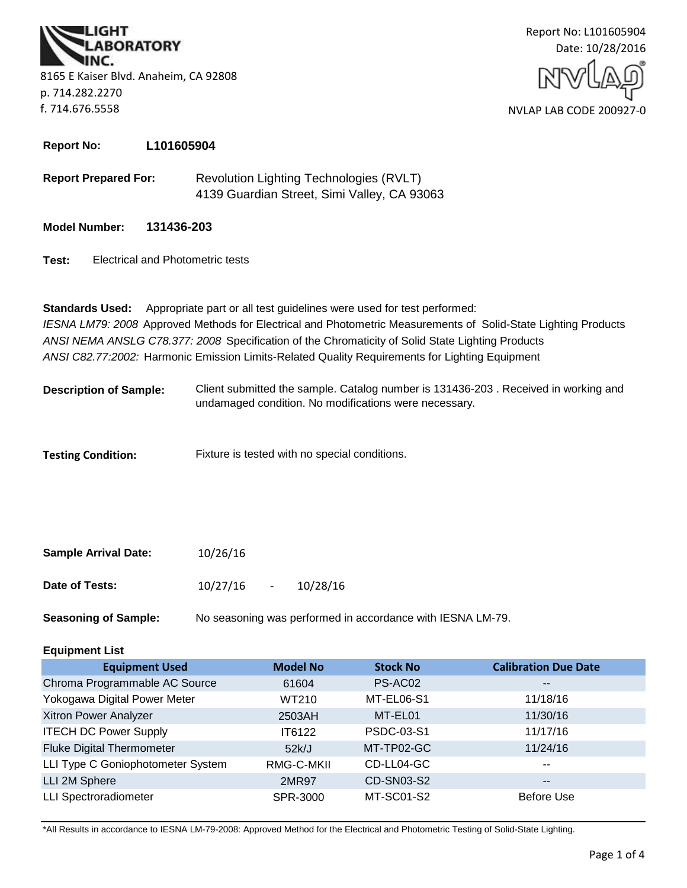**BORATORY** 8165 E Kaiser Blvd. Anaheim, CA 92808 p. 714.282.2270 f. 714.676.5558



**Report No: L101605904**

**Report Prepared For:** Revolution Lighting Technologies (RVLT) 4139 Guardian Street, Simi Valley, CA 93063

**Model Number: 131436-203**

**Test:** Electrical and Photometric tests

*ANSI C82.77:2002:* Harmonic Emission Limits-Related Quality Requirements for Lighting Equipment **Standards Used:** Appropriate part or all test guidelines were used for test performed: *IESNA LM79: 2008* Approved Methods for Electrical and Photometric Measurements of Solid-State Lighting Products *ANSI NEMA ANSLG C78.377: 2008* Specification of the Chromaticity of Solid State Lighting Products

Client submitted the sample. Catalog number is 131436-203 . Received in working and undamaged condition. No modifications were necessary. **Description of Sample:**

**Testing Condition:** Fixture is tested with no special conditions.

| <b>Sample Arrival Date:</b> | 10/26/16 |        |          |
|-----------------------------|----------|--------|----------|
| Date of Tests:              | 10/27/16 | $\sim$ | 10/28/16 |

**Seasoning of Sample:** No seasoning was performed in accordance with IESNA LM-79.

# **Equipment List**

| <b>Equipment Used</b>             | <b>Model No</b> | <b>Stock No</b> | <b>Calibration Due Date</b> |
|-----------------------------------|-----------------|-----------------|-----------------------------|
| Chroma Programmable AC Source     | 61604           | PS-AC02         | $\overline{\phantom{m}}$    |
| Yokogawa Digital Power Meter      | WT210           | MT-EL06-S1      | 11/18/16                    |
| Xitron Power Analyzer             | 2503AH          | MT-EL01         | 11/30/16                    |
| <b>ITECH DC Power Supply</b>      | IT6122          | PSDC-03-S1      | 11/17/16                    |
| <b>Fluke Digital Thermometer</b>  | 52k/J           | MT-TP02-GC      | 11/24/16                    |
| LLI Type C Goniophotometer System | RMG-C-MKII      | CD-LL04-GC      | $- -$                       |
| LLI 2M Sphere                     | 2MR97           | CD-SN03-S2      | $\overline{\phantom{m}}$    |
| <b>LLI Spectroradiometer</b>      | SPR-3000        | MT-SC01-S2      | <b>Before Use</b>           |

\*All Results in accordance to IESNA LM-79-2008: Approved Method for the Electrical and Photometric Testing of Solid-State Lighting.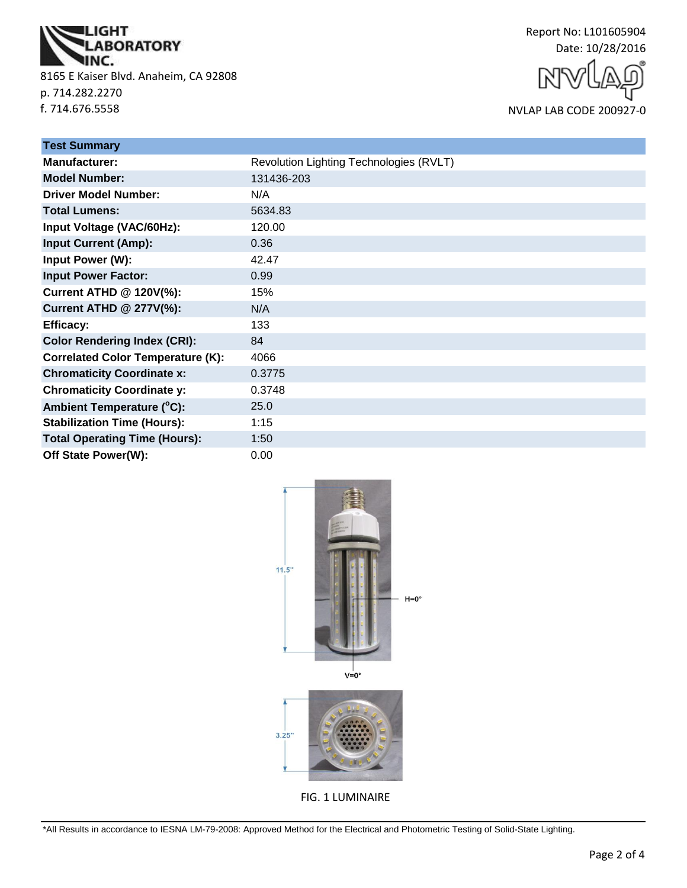

8165 E Kaiser Blvd. Anaheim, CA 92808 p. 714.282.2270 f. 714.676.5558



NVLAP LAB CODE 200927-0

| <b>Test Summary</b>                      |                                         |
|------------------------------------------|-----------------------------------------|
| <b>Manufacturer:</b>                     | Revolution Lighting Technologies (RVLT) |
| <b>Model Number:</b>                     | 131436-203                              |
| <b>Driver Model Number:</b>              | N/A                                     |
| <b>Total Lumens:</b>                     | 5634.83                                 |
| Input Voltage (VAC/60Hz):                | 120.00                                  |
| <b>Input Current (Amp):</b>              | 0.36                                    |
| Input Power (W):                         | 42.47                                   |
| <b>Input Power Factor:</b>               | 0.99                                    |
| <b>Current ATHD @ 120V(%):</b>           | 15%                                     |
| <b>Current ATHD @ 277V(%):</b>           | N/A                                     |
| <b>Efficacy:</b>                         | 133                                     |
| <b>Color Rendering Index (CRI):</b>      | 84                                      |
| <b>Correlated Color Temperature (K):</b> | 4066                                    |
| <b>Chromaticity Coordinate x:</b>        | 0.3775                                  |
| <b>Chromaticity Coordinate y:</b>        | 0.3748                                  |
| Ambient Temperature (°C):                | 25.0                                    |
| <b>Stabilization Time (Hours):</b>       | 1:15                                    |
| <b>Total Operating Time (Hours):</b>     | 1:50                                    |
| Off State Power(W):                      | 0.00                                    |



FIG. 1 LUMINAIRE

\*All Results in accordance to IESNA LM-79-2008: Approved Method for the Electrical and Photometric Testing of Solid-State Lighting.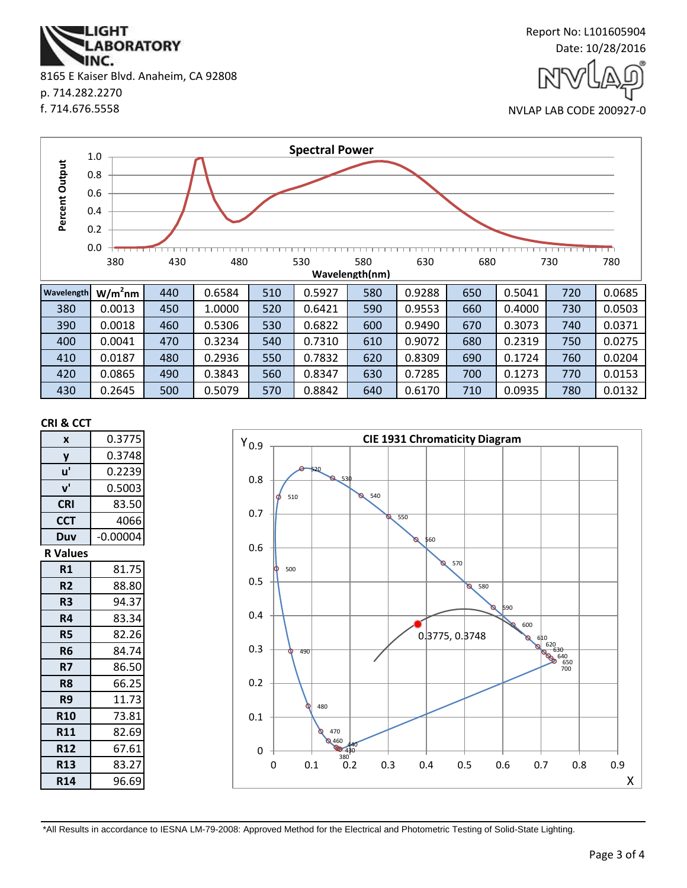

| <b>Wavelength</b> | $W/m2$ nm | 440 | 0.6584 | 510 | 0.5927 | 580 | 0.9288 | 650 | 0.5041 | 720 | 0.0685 |
|-------------------|-----------|-----|--------|-----|--------|-----|--------|-----|--------|-----|--------|
| 380               | 0.0013    | 450 | 1.0000 | 520 | 0.6421 | 590 | 0.9553 | 660 | 0.4000 | 730 | 0.0503 |
| 390               | 0.0018    | 460 | 0.5306 | 530 | 0.6822 | 600 | 0.9490 | 670 | 0.3073 | 740 | 0.0371 |
| 400               | 0.0041    | 470 | 0.3234 | 540 | 0.7310 | 610 | 0.9072 | 680 | 0.2319 | 750 | 0.0275 |
| 410               | 0.0187    | 480 | 0.2936 | 550 | 0.7832 | 620 | 0.8309 | 690 | 0.1724 | 760 | 0.0204 |
| 420               | 0.0865    | 490 | 0.3843 | 560 | 0.8347 | 630 | 0.7285 | 700 | 0.1273 | 770 | 0.0153 |
| 430               | 0.2645    | 500 | 0.5079 | 570 | 0.8842 | 640 | 0.6170 | 710 | 0.0935 | 780 | 0.0132 |

### **CRI & CCT**

8165 E Kaiser Blvd. Anaheim, CA 92808

**ABORATORY** 

**IGHT** 

INC.

p. 714.282.2270 f. 714.676.5558

| X               | 0.3775     |
|-----------------|------------|
| y               | 0.3748     |
| u'              | 0.2239     |
| ${\bf v}'$      | 0.5003     |
| <b>CRI</b>      | 83.50      |
| <b>CCT</b>      | 4066       |
| Duv             | $-0.00004$ |
| <b>R</b> Values |            |
| R1              | 81.75      |
| R <sub>2</sub>  | 88.80      |
| R3              | 94.37      |
| R4              | 83.34      |
| <b>R5</b>       | 82.26      |
| R6              | 84.74      |
| R7              | 86.50      |
| R <sub>8</sub>  | 66.25      |
| R9              | 11.73      |
| <b>R10</b>      | 73.81      |
| <b>R11</b>      | 82.69      |
| <b>R12</b>      | 67.61      |
| <b>R13</b>      | 83.27      |
| <b>R14</b>      | 96.69      |

2 430<br>380 **9460** 470 480 490 500 510 520 530 540 550 560 570 580 590 600 610<br>
620<br>
630<br>
650<br>
650<br>
700 0.3775, 0.3748 0 0.1 0.2 0.3 0.4 0.5 0.6 0.7 0.8  $Y_{0.9}$ 0 0.1 0.2 0.3 0.4 0.5 0.6 0.7 0.8 0.9 **CIE 1931 Chromaticity Diagram** X

\*All Results in accordance to IESNA LM-79-2008: Approved Method for the Electrical and Photometric Testing of Solid-State Lighting.





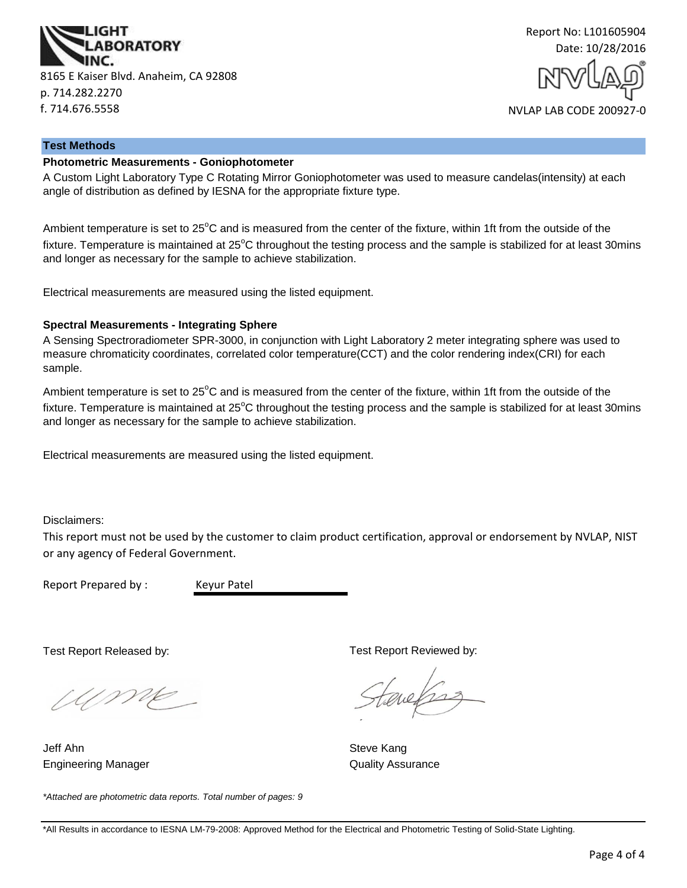



#### **Test Methods**

#### **Photometric Measurements - Goniophotometer**

A Custom Light Laboratory Type C Rotating Mirror Goniophotometer was used to measure candelas(intensity) at each angle of distribution as defined by IESNA for the appropriate fixture type.

Ambient temperature is set to 25<sup>°</sup>C and is measured from the center of the fixture, within 1ft from the outside of the fixture. Temperature is maintained at  $25^{\circ}$ C throughout the testing process and the sample is stabilized for at least 30mins and longer as necessary for the sample to achieve stabilization.

Electrical measurements are measured using the listed equipment.

#### **Spectral Measurements - Integrating Sphere**

A Sensing Spectroradiometer SPR-3000, in conjunction with Light Laboratory 2 meter integrating sphere was used to measure chromaticity coordinates, correlated color temperature(CCT) and the color rendering index(CRI) for each sample.

Ambient temperature is set to  $25^{\circ}$ C and is measured from the center of the fixture, within 1ft from the outside of the fixture. Temperature is maintained at  $25^{\circ}$ C throughout the testing process and the sample is stabilized for at least 30mins and longer as necessary for the sample to achieve stabilization.

Electrical measurements are measured using the listed equipment.

Disclaimers:

This report must not be used by the customer to claim product certification, approval or endorsement by NVLAP, NIST or any agency of Federal Government.

Report Prepared by : Keyur Patel

Test Report Released by:

UME

Engineering Manager **Contains a Strutter Contains a Container Contains A**uality Assurance Jeff Ahn Steve Kang

*\*Attached are photometric data reports. Total number of pages: 9*

Test Report Reviewed by:

auchs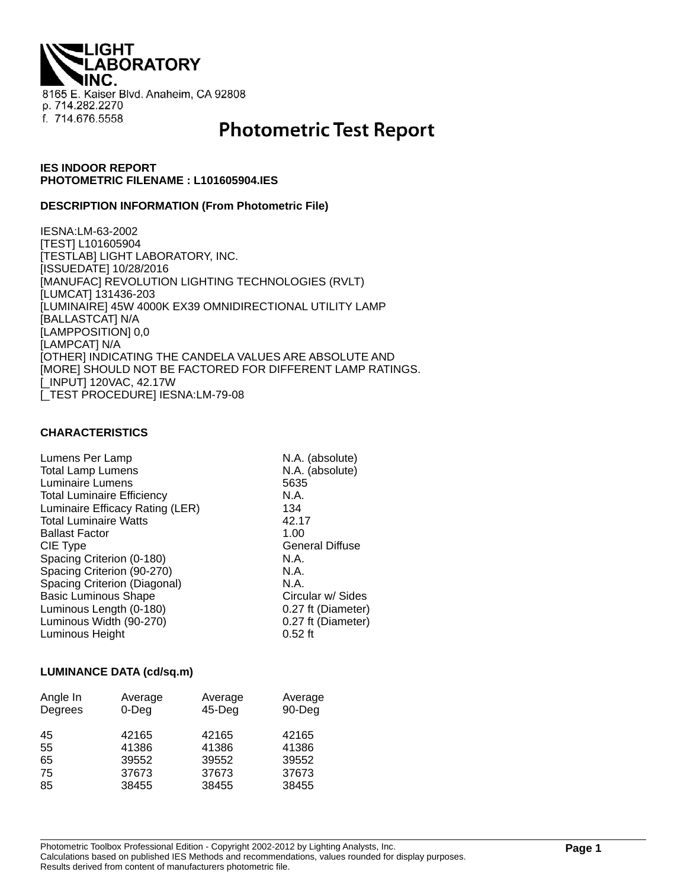**IGHT ABORATORY** 8165 E. Kaiser Blvd. Anaheim, CA 92808 p. 714.282.2270 f. 714.676.5558

# **Photometric Test Report**

## **IES INDOOR REPORT PHOTOMETRIC FILENAME : L101605904.IES**

#### **DESCRIPTION INFORMATION (From Photometric File)**

IESNA:LM-63-2002 [TEST] L101605904 [TESTLAB] LIGHT LABORATORY, INC. [ISSUEDATE] 10/28/2016 [MANUFAC] REVOLUTION LIGHTING TECHNOLOGIES (RVLT) [LUMCAT] 131436-203 [LUMINAIRE] 45W 4000K EX39 OMNIDIRECTIONAL UTILITY LAMP [BALLASTCAT] N/A [LAMPPOSITION] 0,0 [LAMPCAT] N/A [OTHER] INDICATING THE CANDELA VALUES ARE ABSOLUTE AND [MORE] SHOULD NOT BE FACTORED FOR DIFFERENT LAMP RATINGS. [\_INPUT] 120VAC, 42.17W [\_TEST PROCEDURE] IESNA:LM-79-08

### **CHARACTERISTICS**

| Lumens Per Lamp                   | N.A. (absolute)        |
|-----------------------------------|------------------------|
| <b>Total Lamp Lumens</b>          | N.A. (absolute)        |
| Luminaire Lumens                  | 5635                   |
| <b>Total Luminaire Efficiency</b> | N.A.                   |
| Luminaire Efficacy Rating (LER)   | 134                    |
| <b>Total Luminaire Watts</b>      | 42.17                  |
| <b>Ballast Factor</b>             | 1.00                   |
| CIE Type                          | <b>General Diffuse</b> |
| Spacing Criterion (0-180)         | N.A.                   |
| Spacing Criterion (90-270)        | N.A.                   |
| Spacing Criterion (Diagonal)      | N.A.                   |
| <b>Basic Luminous Shape</b>       | Circular w/ Sides      |
| Luminous Length (0-180)           | 0.27 ft (Diameter)     |
| Luminous Width (90-270)           | 0.27 ft (Diameter)     |
| Luminous Height                   | $0.52$ ft              |

#### **LUMINANCE DATA (cd/sq.m)**

| Angle In<br>Degrees | Average<br>$0$ -Deg | Average<br>$45$ -Deg | Average<br>90-Deg |
|---------------------|---------------------|----------------------|-------------------|
| 45                  | 42165               | 42165                | 42165             |
| 55                  | 41386               | 41386                | 41386             |
| 65                  | 39552               | 39552                | 39552             |
| 75                  | 37673               | 37673                | 37673             |
| 85                  | 38455               | 38455                | 38455             |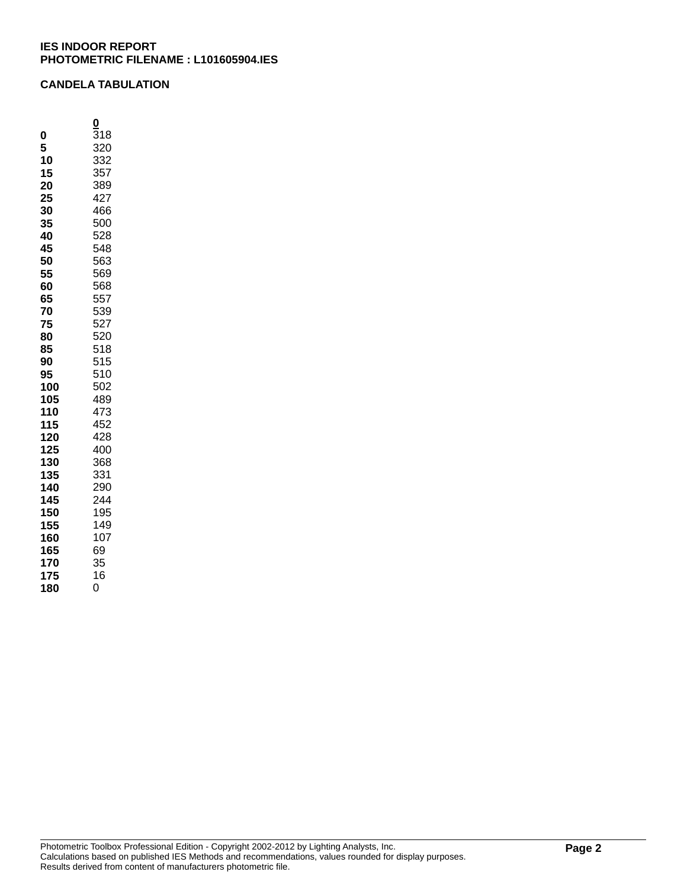# **CANDELA TABULATION**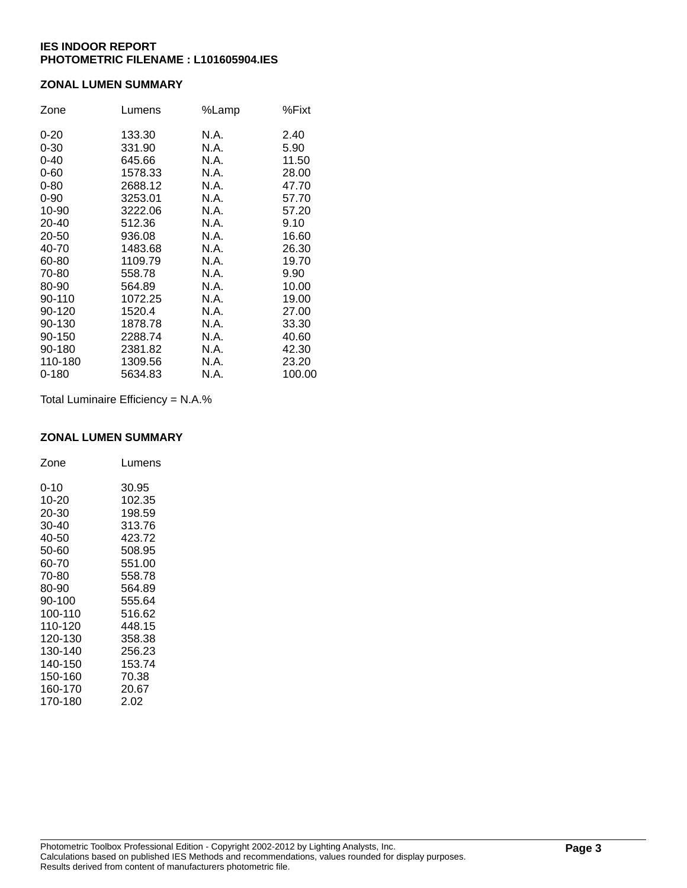# **ZONAL LUMEN SUMMARY**

| Zone      | Lumens  | %Lamp | %Fixt  |
|-----------|---------|-------|--------|
| $0 - 20$  | 133.30  | N.A.  | 2.40   |
| $0 - 30$  | 331.90  | N.A.  | 5.90   |
| $0 - 40$  | 645.66  | N.A.  | 11.50  |
| $0 - 60$  | 1578.33 | N.A.  | 28.00  |
| $0 - 80$  | 2688.12 | N.A.  | 47.70  |
| $0 - 90$  | 3253.01 | N.A.  | 57.70  |
| 10-90     | 3222.06 | N.A.  | 57.20  |
| 20-40     | 512.36  | N.A.  | 9.10   |
| 20-50     | 936.08  | N.A.  | 16.60  |
| 40-70     | 1483.68 | N.A.  | 26.30  |
| 60-80     | 1109.79 | N.A.  | 19.70  |
| 70-80     | 558.78  | N.A.  | 9.90   |
| 80-90     | 564.89  | N.A.  | 10.00  |
| 90-110    | 1072.25 | N.A.  | 19.00  |
| 90-120    | 1520.4  | N.A.  | 27.00  |
| 90-130    | 1878.78 | N.A.  | 33.30  |
| 90-150    | 2288.74 | N.A.  | 40.60  |
| 90-180    | 2381.82 | N.A.  | 42.30  |
| 110-180   | 1309.56 | N.A.  | 23.20  |
| $0 - 180$ | 5634.83 | N.A.  | 100.00 |

Total Luminaire Efficiency = N.A.%

#### **ZONAL LUMEN SUMMARY**

| Zone     | Lumens |
|----------|--------|
| $0 - 10$ | 30.95  |
| 10-20    | 102.35 |
| 20-30    | 198.59 |
| 30-40    | 313.76 |
| 40-50    | 423.72 |
| 50-60    | 508.95 |
| 60-70    | 551.00 |
| 70-80    | 558.78 |
| 80-90    | 564.89 |
| 90-100   | 555.64 |
| 100-110  | 516.62 |
| 110-120  | 448.15 |
| 120-130  | 358.38 |
| 130-140  | 256.23 |
| 140-150  | 153.74 |
| 150-160  | 70.38  |
| 160-170  | 20.67  |
| 170-180  | 2.02   |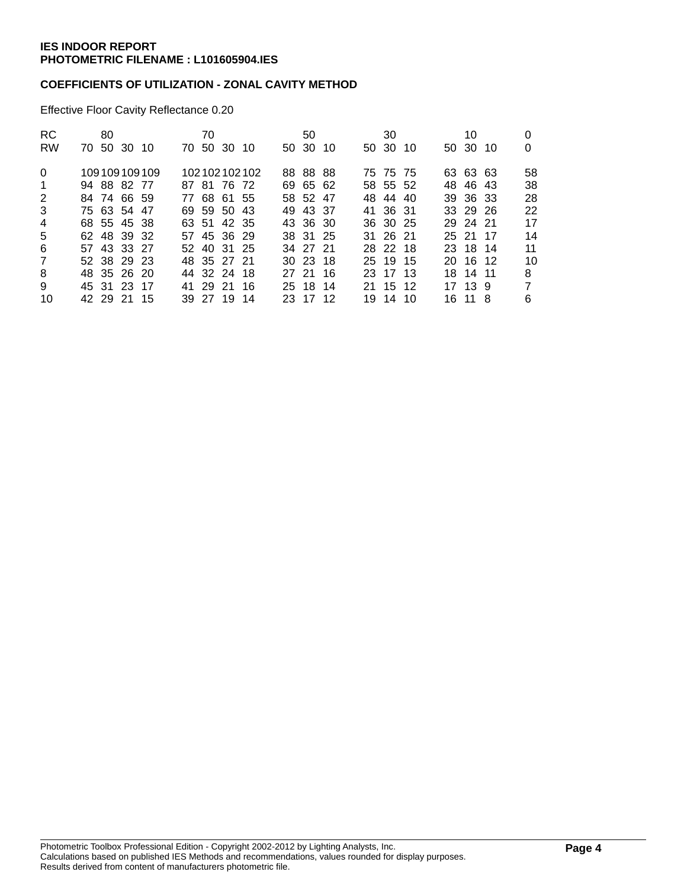# **COEFFICIENTS OF UTILIZATION - ZONAL CAVITY METHOD**

Effective Floor Cavity Reflectance 0.20

| <b>RC</b>      |             | 80 |              | 70 |             |              | 50           |  | 30       |  | 10       |                |
|----------------|-------------|----|--------------|----|-------------|--------------|--------------|--|----------|--|----------|----------------|
| <b>RW</b>      | 70 50 30 10 |    |              |    | 70 50 30 10 |              | 50 30 10     |  | 50 30 10 |  | 50 30 10 | 0              |
| $\Omega$       |             |    | 109109109109 |    |             | 102102102102 | 88 88 88     |  | 75 75 75 |  | 63 63 63 | 58             |
| $\overline{1}$ | 94 88 82 77 |    |              |    | 87 81 76 72 |              | 69 65 62     |  | 58 55 52 |  | 48 46 43 | 38             |
| 2              | 84 74 66 59 |    |              |    | 77 68 61 55 |              | 58 52 47     |  | 48 44 40 |  | 39 36 33 | 28             |
| 3              | 75 63 54 47 |    |              |    | 69 59 50 43 |              | 49 43 37     |  | 41 36 31 |  | 33 29 26 | 22             |
| 4              | 68 55 45 38 |    |              |    | 63 51 42 35 |              | 43 36 30     |  | 36 30 25 |  | 29 24 21 | 17             |
| 5              | 62 48 39 32 |    |              |    | 57 45 36 29 |              | 38 31 25     |  | 31 26 21 |  | 25 21 17 | 14             |
| 6              | 57 43 33 27 |    |              |    | 52 40 31 25 |              | 34 27 21     |  | 28 22 18 |  | 23 18 14 | 11             |
| $\overline{7}$ | 52 38 29 23 |    |              |    | 48 35 27 21 |              | $30\,23\,18$ |  | 25 19 15 |  | 20 16 12 | 10             |
| 8              | 48 35 26 20 |    |              |    | 44 32 24 18 |              | 27 21 16     |  | 23 17 13 |  | 18 14 11 | 8              |
| 9              | 45 31 23 17 |    |              |    | 41 29 21 16 |              | 25 18 14     |  | 21 15 12 |  | 17 13 9  | $\overline{7}$ |
| 10             | 42 29 21 15 |    |              |    | 39 27 19 14 |              | 23 17 12     |  | 19 14 10 |  | 16 11 8  | 6              |